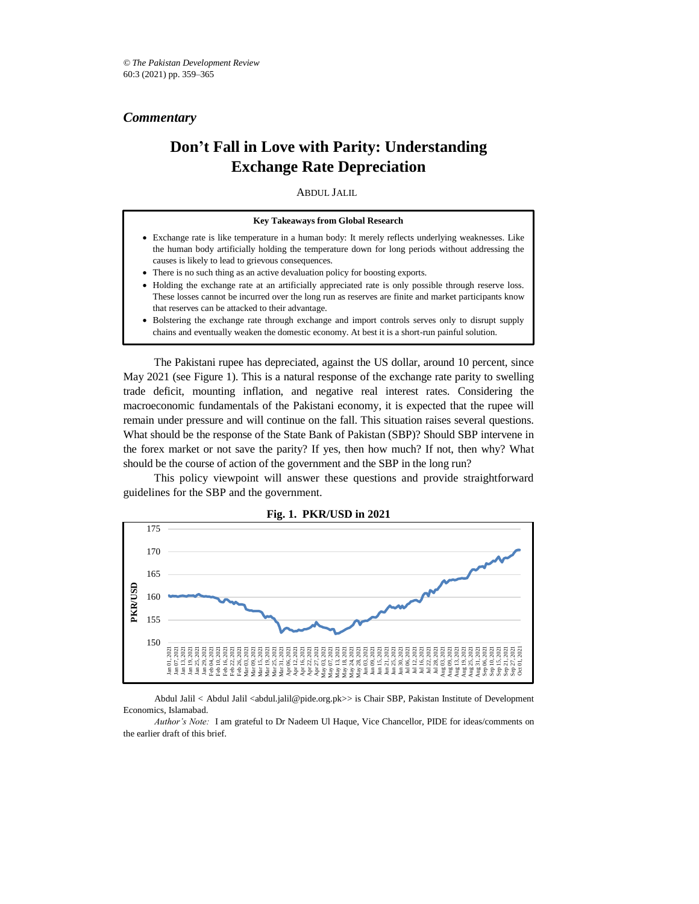*Commentary*

# **Don't Fall in Love with Parity: Understanding Exchange Rate Depreciation**

ABDUL JALIL*\**

- Exchange rate is like temperature in a human body: It merely reflects underlying weaknesses. Like the human body artificially holding the temperature down for long periods without addressing the causes is likely to lead to grievous consequences.
- There is no such thing as an active devaluation policy for boosting exports.
- Holding the exchange rate at an artificially appreciated rate is only possible through reserve loss. These losses cannot be incurred over the long run as reserves are finite and market participants know that reserves can be attacked to their advantage.
- Bolstering the exchange rate through exchange and import controls serves only to disrupt supply chains and eventually weaken the domestic economy. At best it is a short-run painful solution.

The Pakistani rupee has depreciated, against the US dollar, around 10 percent, since May 2021 (see Figure 1). This is a natural response of the exchange rate parity to swelling trade deficit, mounting inflation, and negative real interest rates. Considering the macroeconomic fundamentals of the Pakistani economy, it is expected that the rupee will remain under pressure and will continue on the fall. This situation raises several questions. What should be the response of the State Bank of Pakistan (SBP)? Should SBP intervene in the forex market or not save the parity? If yes, then how much? If not, then why? What should be the course of action of the government and the SBP in the long run?

This policy viewpoint will answer these questions and provide straightforward guidelines for the SBP and the government.



**Fig. 1. PKR/USD in 2021**

Abdul Jalil < Abdul Jalil <abdul.jalil@pide.org.pk>> is Chair SBP, Pakistan Institute of Development Economics, Islamabad.

*Author's Note:* I am grateful to Dr Nadeem Ul Haque, Vice Chancellor, PIDE for ideas/comments on the earlier draft of this brief.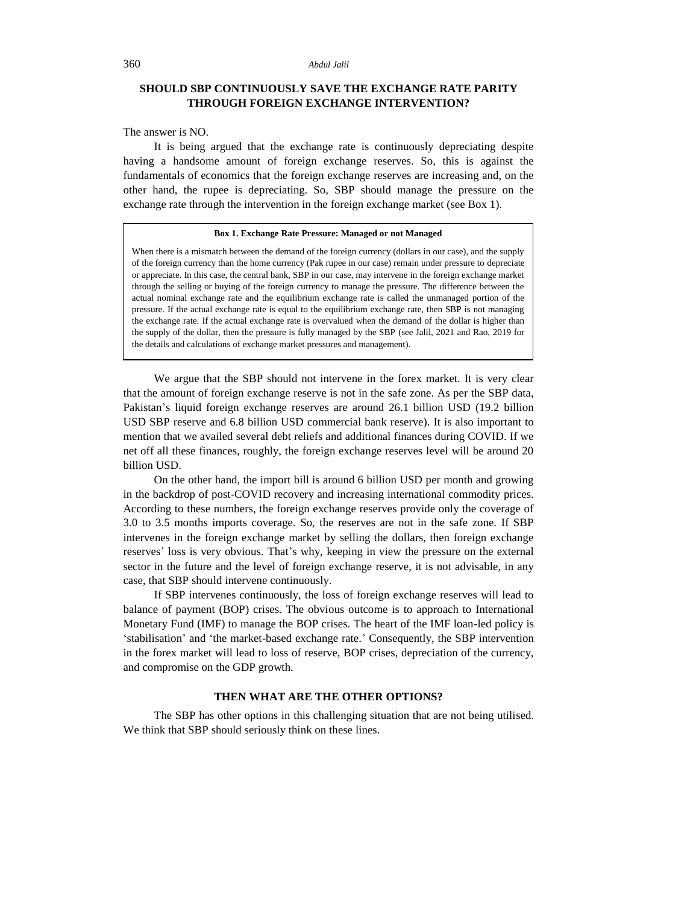#### 360 *Abdul Jalil*

# **SHOULD SBP CONTINUOUSLY SAVE THE EXCHANGE RATE PARITY THROUGH FOREIGN EXCHANGE INTERVENTION?**

The answer is NO.

It is being argued that the exchange rate is continuously depreciating despite having a handsome amount of foreign exchange reserves. So, this is against the fundamentals of economics that the foreign exchange reserves are increasing and, on the other hand, the rupee is depreciating. So, SBP should manage the pressure on the exchange rate through the intervention in the foreign exchange market (see Box 1).

#### **Box 1. Exchange Rate Pressure: Managed or not Managed**

When there is a mismatch between the demand of the foreign currency (dollars in our case), and the supply of the foreign currency than the home currency (Pak rupee in our case) remain under pressure to depreciate or appreciate. In this case, the central bank, SBP in our case, may intervene in the foreign exchange market through the selling or buying of the foreign currency to manage the pressure. The difference between the actual nominal exchange rate and the equilibrium exchange rate is called the unmanaged portion of the pressure. If the actual exchange rate is equal to the equilibrium exchange rate, then SBP is not managing the exchange rate. If the actual exchange rate is overvalued when the demand of the dollar is higher than the supply of the dollar, then the pressure is fully managed by the SBP (see Jalil, 2021 and Rao, 2019 for the details and calculations of exchange market pressures and management).

We argue that the SBP should not intervene in the forex market. It is very clear that the amount of foreign exchange reserve is not in the safe zone. As per the SBP data, Pakistan's liquid foreign exchange reserves are around 26.1 billion USD (19.2 billion USD SBP reserve and 6.8 billion USD commercial bank reserve). It is also important to mention that we availed several debt reliefs and additional finances during COVID. If we net off all these finances, roughly, the foreign exchange reserves level will be around 20 billion USD.

On the other hand, the import bill is around 6 billion USD per month and growing in the backdrop of post-COVID recovery and increasing international commodity prices. According to these numbers, the foreign exchange reserves provide only the coverage of 3.0 to 3.5 months imports coverage. So, the reserves are not in the safe zone. If SBP intervenes in the foreign exchange market by selling the dollars, then foreign exchange reserves' loss is very obvious. That's why, keeping in view the pressure on the external sector in the future and the level of foreign exchange reserve, it is not advisable, in any case, that SBP should intervene continuously.

If SBP intervenes continuously, the loss of foreign exchange reserves will lead to balance of payment (BOP) crises. The obvious outcome is to approach to International Monetary Fund (IMF) to manage the BOP crises. The heart of the IMF loan-led policy is 'stabilisation' and 'the market-based exchange rate.' Consequently, the SBP intervention in the forex market will lead to loss of reserve, BOP crises, depreciation of the currency, and compromise on the GDP growth.

# **THEN WHAT ARE THE OTHER OPTIONS?**

The SBP has other options in this challenging situation that are not being utilised. We think that SBP should seriously think on these lines.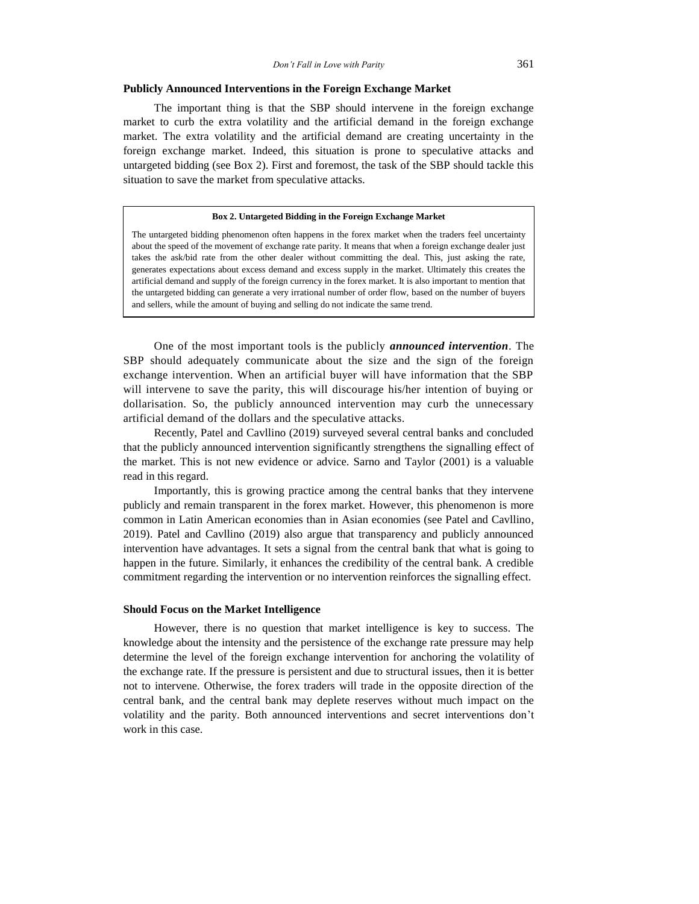## **Publicly Announced Interventions in the Foreign Exchange Market**

The important thing is that the SBP should intervene in the foreign exchange market to curb the extra volatility and the artificial demand in the foreign exchange market. The extra volatility and the artificial demand are creating uncertainty in the foreign exchange market. Indeed, this situation is prone to speculative attacks and untargeted bidding (see Box 2). First and foremost, the task of the SBP should tackle this situation to save the market from speculative attacks.

#### **Box 2. Untargeted Bidding in the Foreign Exchange Market**

The untargeted bidding phenomenon often happens in the forex market when the traders feel uncertainty about the speed of the movement of exchange rate parity. It means that when a foreign exchange dealer just takes the ask/bid rate from the other dealer without committing the deal. This, just asking the rate, generates expectations about excess demand and excess supply in the market. Ultimately this creates the artificial demand and supply of the foreign currency in the forex market. It is also important to mention that the untargeted bidding can generate a very irrational number of order flow, based on the number of buyers and sellers, while the amount of buying and selling do not indicate the same trend.

One of the most important tools is the publicly *announced intervention*. The SBP should adequately communicate about the size and the sign of the foreign exchange intervention. When an artificial buyer will have information that the SBP will intervene to save the parity, this will discourage his/her intention of buying or dollarisation. So, the publicly announced intervention may curb the unnecessary artificial demand of the dollars and the speculative attacks.

Recently, Patel and Cavllino (2019) surveyed several central banks and concluded that the publicly announced intervention significantly strengthens the signalling effect of the market. This is not new evidence or advice. Sarno and Taylor (2001) is a valuable read in this regard.

Importantly, this is growing practice among the central banks that they intervene publicly and remain transparent in the forex market. However, this phenomenon is more common in Latin American economies than in Asian economies (see Patel and Cavllino, 2019). Patel and Cavllino (2019) also argue that transparency and publicly announced intervention have advantages. It sets a signal from the central bank that what is going to happen in the future. Similarly, it enhances the credibility of the central bank. A credible commitment regarding the intervention or no intervention reinforces the signalling effect.

# **Should Focus on the Market Intelligence**

However, there is no question that market intelligence is key to success. The knowledge about the intensity and the persistence of the exchange rate pressure may help determine the level of the foreign exchange intervention for anchoring the volatility of the exchange rate. If the pressure is persistent and due to structural issues, then it is better not to intervene. Otherwise, the forex traders will trade in the opposite direction of the central bank, and the central bank may deplete reserves without much impact on the volatility and the parity. Both announced interventions and secret interventions don't work in this case.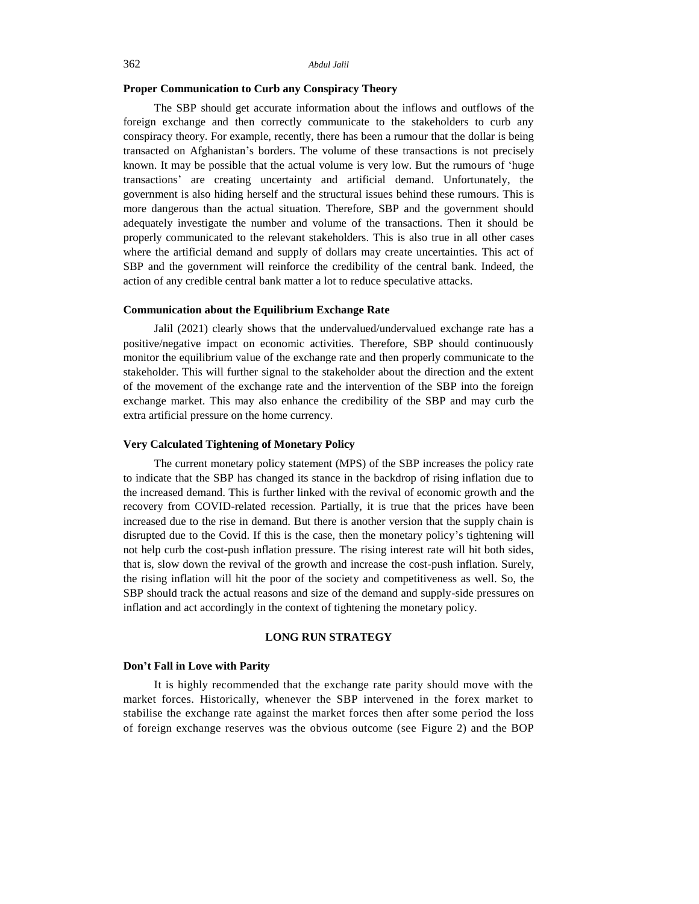#### 362 *Abdul Jalil*

## **Proper Communication to Curb any Conspiracy Theory**

The SBP should get accurate information about the inflows and outflows of the foreign exchange and then correctly communicate to the stakeholders to curb any conspiracy theory. For example, recently, there has been a rumour that the dollar is being transacted on Afghanistan's borders. The volume of these transactions is not precisely known. It may be possible that the actual volume is very low. But the rumours of 'huge transactions' are creating uncertainty and artificial demand. Unfortunately, the government is also hiding herself and the structural issues behind these rumours. This is more dangerous than the actual situation. Therefore, SBP and the government should adequately investigate the number and volume of the transactions. Then it should be properly communicated to the relevant stakeholders. This is also true in all other cases where the artificial demand and supply of dollars may create uncertainties. This act of SBP and the government will reinforce the credibility of the central bank. Indeed, the action of any credible central bank matter a lot to reduce speculative attacks.

## **Communication about the Equilibrium Exchange Rate**

Jalil (2021) clearly shows that the undervalued/undervalued exchange rate has a positive/negative impact on economic activities. Therefore, SBP should continuously monitor the equilibrium value of the exchange rate and then properly communicate to the stakeholder. This will further signal to the stakeholder about the direction and the extent of the movement of the exchange rate and the intervention of the SBP into the foreign exchange market. This may also enhance the credibility of the SBP and may curb the extra artificial pressure on the home currency.

#### **Very Calculated Tightening of Monetary Policy**

The current monetary policy statement (MPS) of the SBP increases the policy rate to indicate that the SBP has changed its stance in the backdrop of rising inflation due to the increased demand. This is further linked with the revival of economic growth and the recovery from COVID-related recession. Partially, it is true that the prices have been increased due to the rise in demand. But there is another version that the supply chain is disrupted due to the Covid. If this is the case, then the monetary policy's tightening will not help curb the cost-push inflation pressure. The rising interest rate will hit both sides, that is, slow down the revival of the growth and increase the cost-push inflation. Surely, the rising inflation will hit the poor of the society and competitiveness as well. So, the SBP should track the actual reasons and size of the demand and supply-side pressures on inflation and act accordingly in the context of tightening the monetary policy.

## **LONG RUN STRATEGY**

## **Don't Fall in Love with Parity**

It is highly recommended that the exchange rate parity should move with the market forces. Historically, whenever the SBP intervened in the forex market to stabilise the exchange rate against the market forces then after some period the loss of foreign exchange reserves was the obvious outcome (see Figure 2) and the BOP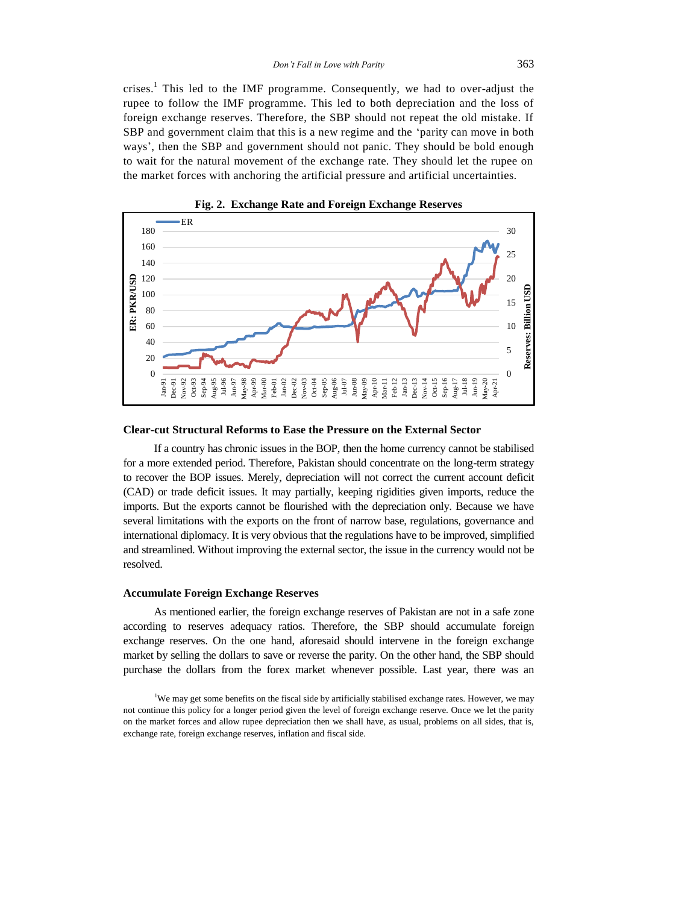crises. <sup>1</sup> This led to the IMF programme. Consequently, we had to over-adjust the rupee to follow the IMF programme. This led to both depreciation and the loss of foreign exchange reserves. Therefore, the SBP should not repeat the old mistake. If SBP and government claim that this is a new regime and the 'parity can move in both ways', then the SBP and government should not panic. They should be bold enough to wait for the natural movement of the exchange rate. They should let the rupee on the market forces with anchoring the artificial pressure and artificial uncertainties.



**Fig. 2. Exchange Rate and Foreign Exchange Reserves**

#### **Clear-cut Structural Reforms to Ease the Pressure on the External Sector**

If a country has chronic issues in the BOP, then the home currency cannot be stabilised for a more extended period. Therefore, Pakistan should concentrate on the long-term strategy to recover the BOP issues. Merely, depreciation will not correct the current account deficit (CAD) or trade deficit issues. It may partially, keeping rigidities given imports, reduce the imports. But the exports cannot be flourished with the depreciation only. Because we have several limitations with the exports on the front of narrow base, regulations, governance and international diplomacy. It is very obvious that the regulations have to be improved, simplified and streamlined. Without improving the external sector, the issue in the currency would not be resolved.

## **Accumulate Foreign Exchange Reserves**

As mentioned earlier, the foreign exchange reserves of Pakistan are not in a safe zone according to reserves adequacy ratios. Therefore, the SBP should accumulate foreign exchange reserves. On the one hand, aforesaid should intervene in the foreign exchange market by selling the dollars to save or reverse the parity. On the other hand, the SBP should purchase the dollars from the forex market whenever possible. Last year, there was an

<sup>&</sup>lt;sup>1</sup>We may get some benefits on the fiscal side by artificially stabilised exchange rates. However, we may not continue this policy for a longer period given the level of foreign exchange reserve. Once we let the parity on the market forces and allow rupee depreciation then we shall have, as usual, problems on all sides, that is, exchange rate, foreign exchange reserves, inflation and fiscal side.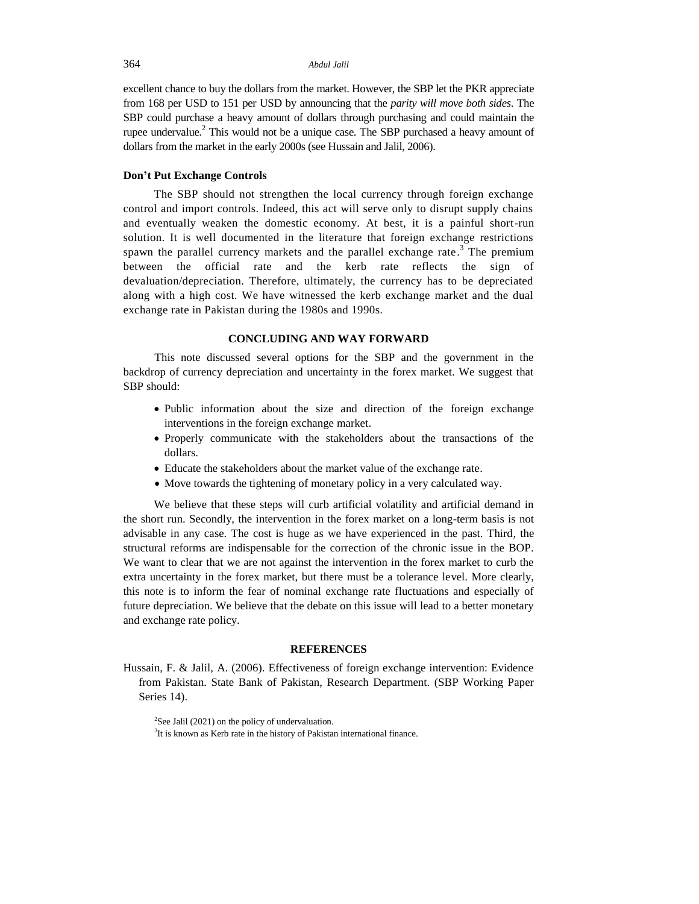excellent chance to buy the dollars from the market. However, the SBP let the PKR appreciate from 168 per USD to 151 per USD by announcing that the *parity will move both sides*. The SBP could purchase a heavy amount of dollars through purchasing and could maintain the rupee undervalue.<sup>2</sup> This would not be a unique case. The SBP purchased a heavy amount of dollars from the market in the early 2000s (see Hussain and Jalil, 2006).

## **Don't Put Exchange Controls**

The SBP should not strengthen the local currency through foreign exchange control and import controls. Indeed, this act will serve only to disrupt supply chains and eventually weaken the domestic economy. At best, it is a painful short-run solution. It is well documented in the literature that foreign exchange restrictions spawn the parallel currency markets and the parallel exchange rate.<sup>3</sup> The premium between the official rate and the kerb rate reflects the sign of devaluation/depreciation. Therefore, ultimately, the currency has to be depreciated along with a high cost. We have witnessed the kerb exchange market and the dual exchange rate in Pakistan during the 1980s and 1990s.

## **CONCLUDING AND WAY FORWARD**

This note discussed several options for the SBP and the government in the backdrop of currency depreciation and uncertainty in the forex market. We suggest that SBP should:

- Public information about the size and direction of the foreign exchange interventions in the foreign exchange market.
- Properly communicate with the stakeholders about the transactions of the dollars.
- Educate the stakeholders about the market value of the exchange rate.
- Move towards the tightening of monetary policy in a very calculated way.

We believe that these steps will curb artificial volatility and artificial demand in the short run. Secondly, the intervention in the forex market on a long-term basis is not advisable in any case. The cost is huge as we have experienced in the past. Third, the structural reforms are indispensable for the correction of the chronic issue in the BOP. We want to clear that we are not against the intervention in the forex market to curb the extra uncertainty in the forex market, but there must be a tolerance level. More clearly, this note is to inform the fear of nominal exchange rate fluctuations and especially of future depreciation. We believe that the debate on this issue will lead to a better monetary and exchange rate policy.

#### **REFERENCES**

Hussain, F. & Jalil, A. (2006). Effectiveness of foreign exchange intervention: Evidence from Pakistan. State Bank of Pakistan, Research Department. (SBP Working Paper Series 14).

 $2$ See Jalil (2021) on the policy of undervaluation.

 $3$ It is known as Kerb rate in the history of Pakistan international finance.